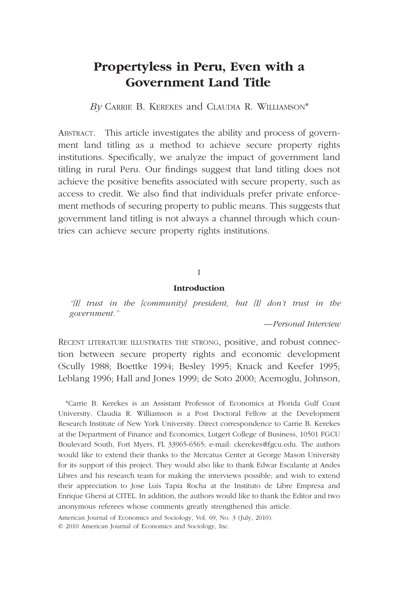# **Propertyless in Peru, Even with a Government Land Title**

 $B\gamma$  CARRIE B. KEREKES and CLAUDIA R. WILLIAMSON<sup>\*</sup>

ABSTRACT. This article investigates the ability and process of government land titling as a method to achieve secure property rights institutions. Specifically, we analyze the impact of government land titling in rural Peru. Our findings suggest that land titling does not achieve the positive benefits associated with secure property, such as access to credit. We also find that individuals prefer private enforcement methods of securing property to public means. This suggests that government land titling is not always a channel through which countries can achieve secure property rights institutions.

#### I

## **Introduction**

*"[I] trust in the [community] president, but [I] don't trust in the government."*

*—Personal Interview*

RECENT LITERATURE ILLUSTRATES THE STRONG, positive, and robust connection between secure property rights and economic development (Scully 1988; Boettke 1994; Besley 1995; Knack and Keefer 1995; Leblang 1996; Hall and Jones 1999; de Soto 2000; Acemoglu, Johnson,

\*Carrie B. Kerekes is an Assistant Professor of Economics at Florida Gulf Coast University. Claudia R. Williamson is a Post Doctoral Fellow at the Development Research Institute of New York University. Direct correspondence to Carrie B. Kerekes at the Department of Finance and Economics, Lutgert College of Business, 10501 FGCU Boulevard South, Fort Myers, FL 33965-6565; e-mail: ckerekes@fgcu.edu. The authors would like to extend their thanks to the Mercatus Center at George Mason University for its support of this project. They would also like to thank Edwar Escalante at Andes Libres and his research team for making the interviews possible; and wish to extend their appreciation to Jose Luis Tapia Rocha at the Instituto de Libre Empresa and Enrique Ghersi at CITEL. In addition, the authors would like to thank the Editor and two anonymous referees whose comments greatly strengthened this article.

American Journal of Economics and Sociology, Vol. 69, No. 3 (July, 2010). © 2010 American Journal of Economics and Sociology, Inc.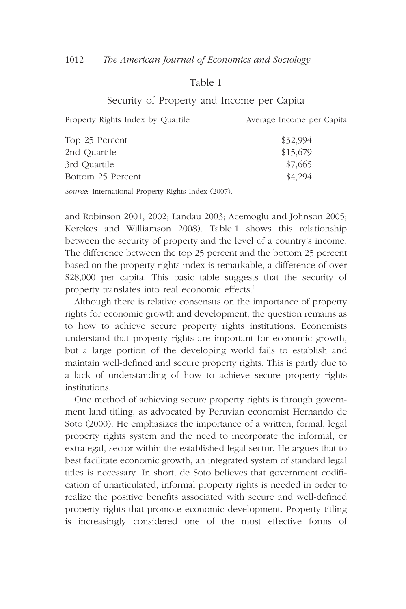# Table 1

| Property Rights Index by Quartile | Average Income per Capita |
|-----------------------------------|---------------------------|
| Top 25 Percent                    | \$32,994                  |
| 2nd Quartile                      | \$15,679                  |
| 3rd Quartile                      | \$7,665                   |
| Bottom 25 Percent                 | \$4.294                   |

# Security of Property and Income per Capita

*Source*: International Property Rights Index (2007).

and Robinson 2001, 2002; Landau 2003; Acemoglu and Johnson 2005; Kerekes and Williamson 2008). Table 1 shows this relationship between the security of property and the level of a country's income. The difference between the top 25 percent and the bottom 25 percent based on the property rights index is remarkable, a difference of over \$28,000 per capita. This basic table suggests that the security of property translates into real economic effects.<sup>1</sup>

Although there is relative consensus on the importance of property rights for economic growth and development, the question remains as to how to achieve secure property rights institutions. Economists understand that property rights are important for economic growth, but a large portion of the developing world fails to establish and maintain well-defined and secure property rights. This is partly due to a lack of understanding of how to achieve secure property rights institutions.

One method of achieving secure property rights is through government land titling, as advocated by Peruvian economist Hernando de Soto (2000). He emphasizes the importance of a written, formal, legal property rights system and the need to incorporate the informal, or extralegal, sector within the established legal sector. He argues that to best facilitate economic growth, an integrated system of standard legal titles is necessary. In short, de Soto believes that government codification of unarticulated, informal property rights is needed in order to realize the positive benefits associated with secure and well-defined property rights that promote economic development. Property titling is increasingly considered one of the most effective forms of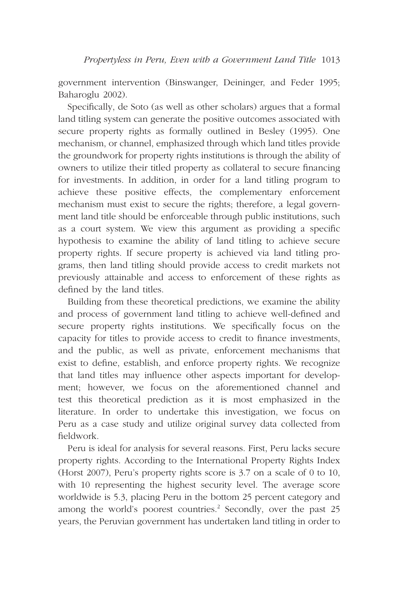government intervention (Binswanger, Deininger, and Feder 1995; Baharoglu 2002).

Specifically, de Soto (as well as other scholars) argues that a formal land titling system can generate the positive outcomes associated with secure property rights as formally outlined in Besley (1995). One mechanism, or channel, emphasized through which land titles provide the groundwork for property rights institutions is through the ability of owners to utilize their titled property as collateral to secure financing for investments. In addition, in order for a land titling program to achieve these positive effects, the complementary enforcement mechanism must exist to secure the rights; therefore, a legal government land title should be enforceable through public institutions, such as a court system. We view this argument as providing a specific hypothesis to examine the ability of land titling to achieve secure property rights. If secure property is achieved via land titling programs, then land titling should provide access to credit markets not previously attainable and access to enforcement of these rights as defined by the land titles.

Building from these theoretical predictions, we examine the ability and process of government land titling to achieve well-defined and secure property rights institutions. We specifically focus on the capacity for titles to provide access to credit to finance investments, and the public, as well as private, enforcement mechanisms that exist to define, establish, and enforce property rights. We recognize that land titles may influence other aspects important for development; however, we focus on the aforementioned channel and test this theoretical prediction as it is most emphasized in the literature. In order to undertake this investigation, we focus on Peru as a case study and utilize original survey data collected from fieldwork.

Peru is ideal for analysis for several reasons. First, Peru lacks secure property rights. According to the International Property Rights Index (Horst 2007), Peru's property rights score is 3.7 on a scale of 0 to 10, with 10 representing the highest security level. The average score worldwide is 5.3, placing Peru in the bottom 25 percent category and among the world's poorest countries.<sup>2</sup> Secondly, over the past 25 years, the Peruvian government has undertaken land titling in order to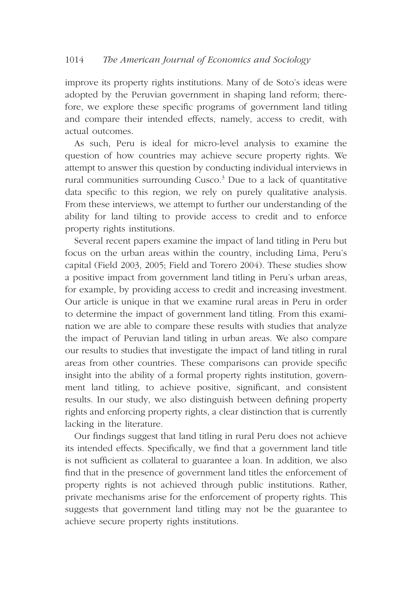improve its property rights institutions. Many of de Soto's ideas were adopted by the Peruvian government in shaping land reform; therefore, we explore these specific programs of government land titling and compare their intended effects, namely, access to credit, with actual outcomes.

As such, Peru is ideal for micro-level analysis to examine the question of how countries may achieve secure property rights. We attempt to answer this question by conducting individual interviews in rural communities surrounding Cusco. $3$  Due to a lack of quantitative data specific to this region, we rely on purely qualitative analysis. From these interviews, we attempt to further our understanding of the ability for land tilting to provide access to credit and to enforce property rights institutions.

Several recent papers examine the impact of land titling in Peru but focus on the urban areas within the country, including Lima, Peru's capital (Field 2003, 2005; Field and Torero 2004). These studies show a positive impact from government land titling in Peru's urban areas, for example, by providing access to credit and increasing investment. Our article is unique in that we examine rural areas in Peru in order to determine the impact of government land titling. From this examination we are able to compare these results with studies that analyze the impact of Peruvian land titling in urban areas. We also compare our results to studies that investigate the impact of land titling in rural areas from other countries. These comparisons can provide specific insight into the ability of a formal property rights institution, government land titling, to achieve positive, significant, and consistent results. In our study, we also distinguish between defining property rights and enforcing property rights, a clear distinction that is currently lacking in the literature.

Our findings suggest that land titling in rural Peru does not achieve its intended effects. Specifically, we find that a government land title is not sufficient as collateral to guarantee a loan. In addition, we also find that in the presence of government land titles the enforcement of property rights is not achieved through public institutions. Rather, private mechanisms arise for the enforcement of property rights. This suggests that government land titling may not be the guarantee to achieve secure property rights institutions.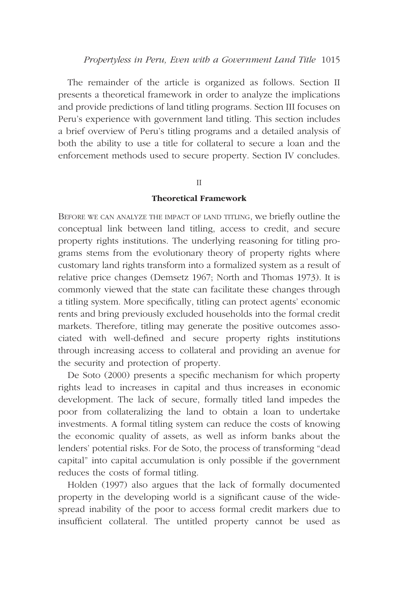The remainder of the article is organized as follows. Section II presents a theoretical framework in order to analyze the implications and provide predictions of land titling programs. Section III focuses on Peru's experience with government land titling. This section includes a brief overview of Peru's titling programs and a detailed analysis of both the ability to use a title for collateral to secure a loan and the enforcement methods used to secure property. Section IV concludes.

#### II

## **Theoretical Framework**

BEFORE WE CAN ANALYZE THE IMPACT OF LAND TITLING, we briefly outline the conceptual link between land titling, access to credit, and secure property rights institutions. The underlying reasoning for titling programs stems from the evolutionary theory of property rights where customary land rights transform into a formalized system as a result of relative price changes (Demsetz 1967; North and Thomas 1973). It is commonly viewed that the state can facilitate these changes through a titling system. More specifically, titling can protect agents' economic rents and bring previously excluded households into the formal credit markets. Therefore, titling may generate the positive outcomes associated with well-defined and secure property rights institutions through increasing access to collateral and providing an avenue for the security and protection of property.

De Soto (2000) presents a specific mechanism for which property rights lead to increases in capital and thus increases in economic development. The lack of secure, formally titled land impedes the poor from collateralizing the land to obtain a loan to undertake investments. A formal titling system can reduce the costs of knowing the economic quality of assets, as well as inform banks about the lenders' potential risks. For de Soto, the process of transforming "dead capital" into capital accumulation is only possible if the government reduces the costs of formal titling.

Holden (1997) also argues that the lack of formally documented property in the developing world is a significant cause of the widespread inability of the poor to access formal credit markers due to insufficient collateral. The untitled property cannot be used as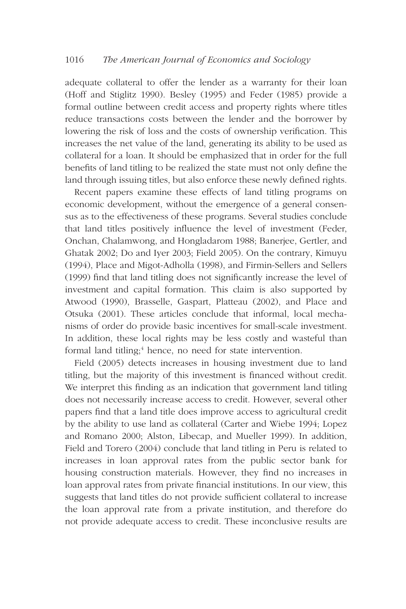adequate collateral to offer the lender as a warranty for their loan (Hoff and Stiglitz 1990). Besley (1995) and Feder (1985) provide a formal outline between credit access and property rights where titles reduce transactions costs between the lender and the borrower by lowering the risk of loss and the costs of ownership verification. This increases the net value of the land, generating its ability to be used as collateral for a loan. It should be emphasized that in order for the full benefits of land titling to be realized the state must not only define the land through issuing titles, but also enforce these newly defined rights.

Recent papers examine these effects of land titling programs on economic development, without the emergence of a general consensus as to the effectiveness of these programs. Several studies conclude that land titles positively influence the level of investment (Feder, Onchan, Chalamwong, and Hongladarom 1988; Banerjee, Gertler, and Ghatak 2002; Do and Iyer 2003; Field 2005). On the contrary, Kimuyu (1994), Place and Migot-Adholla (1998), and Firmin-Sellers and Sellers (1999) find that land titling does not significantly increase the level of investment and capital formation. This claim is also supported by Atwood (1990), Brasselle, Gaspart, Platteau (2002), and Place and Otsuka (2001). These articles conclude that informal, local mechanisms of order do provide basic incentives for small-scale investment. In addition, these local rights may be less costly and wasteful than formal land titling; $<sup>4</sup>$  hence, no need for state intervention.</sup>

Field (2005) detects increases in housing investment due to land titling, but the majority of this investment is financed without credit. We interpret this finding as an indication that government land titling does not necessarily increase access to credit. However, several other papers find that a land title does improve access to agricultural credit by the ability to use land as collateral (Carter and Wiebe 1994; Lopez and Romano 2000; Alston, Libecap, and Mueller 1999). In addition, Field and Torero (2004) conclude that land titling in Peru is related to increases in loan approval rates from the public sector bank for housing construction materials. However, they find no increases in loan approval rates from private financial institutions. In our view, this suggests that land titles do not provide sufficient collateral to increase the loan approval rate from a private institution, and therefore do not provide adequate access to credit. These inconclusive results are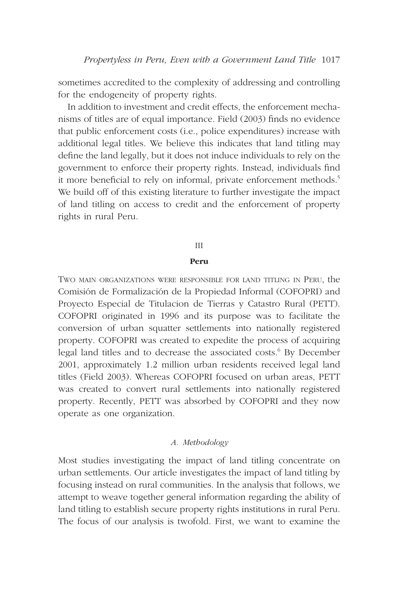sometimes accredited to the complexity of addressing and controlling for the endogeneity of property rights.

In addition to investment and credit effects, the enforcement mechanisms of titles are of equal importance. Field (2003) finds no evidence that public enforcement costs (i.e., police expenditures) increase with additional legal titles. We believe this indicates that land titling may define the land legally, but it does not induce individuals to rely on the government to enforce their property rights. Instead, individuals find it more beneficial to rely on informal, private enforcement methods.<sup>5</sup> We build off of this existing literature to further investigate the impact of land titling on access to credit and the enforcement of property rights in rural Peru.

#### III

#### **Peru**

TWO MAIN ORGANIZATIONS WERE RESPONSIBLE FOR LAND TITLING IN PERU, the Comisión de Formalización de la Propiedad Informal (COFOPRI) and Proyecto Especial de Titulacion de Tierras y Catastro Rural (PETT). COFOPRI originated in 1996 and its purpose was to facilitate the conversion of urban squatter settlements into nationally registered property. COFOPRI was created to expedite the process of acquiring legal land titles and to decrease the associated costs.<sup>6</sup> By December 2001, approximately 1.2 million urban residents received legal land titles (Field 2003). Whereas COFOPRI focused on urban areas, PETT was created to convert rural settlements into nationally registered property. Recently, PETT was absorbed by COFOPRI and they now operate as one organization.

#### *A. Methodology*

Most studies investigating the impact of land titling concentrate on urban settlements. Our article investigates the impact of land titling by focusing instead on rural communities. In the analysis that follows, we attempt to weave together general information regarding the ability of land titling to establish secure property rights institutions in rural Peru. The focus of our analysis is twofold. First, we want to examine the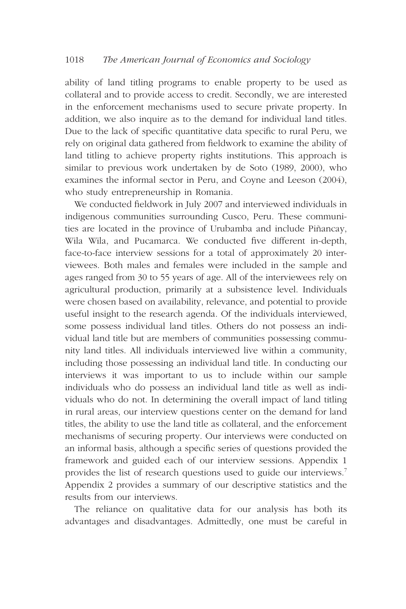ability of land titling programs to enable property to be used as collateral and to provide access to credit. Secondly, we are interested in the enforcement mechanisms used to secure private property. In addition, we also inquire as to the demand for individual land titles. Due to the lack of specific quantitative data specific to rural Peru, we rely on original data gathered from fieldwork to examine the ability of land titling to achieve property rights institutions. This approach is similar to previous work undertaken by de Soto (1989, 2000), who examines the informal sector in Peru, and Coyne and Leeson (2004), who study entrepreneurship in Romania.

We conducted fieldwork in July 2007 and interviewed individuals in indigenous communities surrounding Cusco, Peru. These communities are located in the province of Urubamba and include Piñancay, Wila Wila, and Pucamarca. We conducted five different in-depth, face-to-face interview sessions for a total of approximately 20 interviewees. Both males and females were included in the sample and ages ranged from 30 to 55 years of age. All of the interviewees rely on agricultural production, primarily at a subsistence level. Individuals were chosen based on availability, relevance, and potential to provide useful insight to the research agenda. Of the individuals interviewed, some possess individual land titles. Others do not possess an individual land title but are members of communities possessing community land titles. All individuals interviewed live within a community, including those possessing an individual land title. In conducting our interviews it was important to us to include within our sample individuals who do possess an individual land title as well as individuals who do not. In determining the overall impact of land titling in rural areas, our interview questions center on the demand for land titles, the ability to use the land title as collateral, and the enforcement mechanisms of securing property. Our interviews were conducted on an informal basis, although a specific series of questions provided the framework and guided each of our interview sessions. Appendix 1 provides the list of research questions used to guide our interviews.7 Appendix 2 provides a summary of our descriptive statistics and the results from our interviews.

The reliance on qualitative data for our analysis has both its advantages and disadvantages. Admittedly, one must be careful in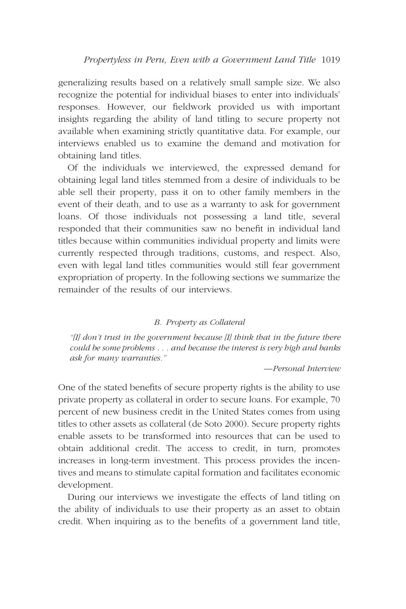generalizing results based on a relatively small sample size. We also recognize the potential for individual biases to enter into individuals' responses. However, our fieldwork provided us with important insights regarding the ability of land titling to secure property not available when examining strictly quantitative data. For example, our interviews enabled us to examine the demand and motivation for obtaining land titles.

Of the individuals we interviewed, the expressed demand for obtaining legal land titles stemmed from a desire of individuals to be able sell their property, pass it on to other family members in the event of their death, and to use as a warranty to ask for government loans. Of those individuals not possessing a land title, several responded that their communities saw no benefit in individual land titles because within communities individual property and limits were currently respected through traditions, customs, and respect. Also, even with legal land titles communities would still fear government expropriation of property. In the following sections we summarize the remainder of the results of our interviews.

### *B. Property as Collateral*

*"[I] don't trust in the government because [I] think that in the future there could be some problems . . . and because the interest is very high and banks ask for many warranties."*

## *—Personal Interview*

One of the stated benefits of secure property rights is the ability to use private property as collateral in order to secure loans. For example, 70 percent of new business credit in the United States comes from using titles to other assets as collateral (de Soto 2000). Secure property rights enable assets to be transformed into resources that can be used to obtain additional credit. The access to credit, in turn, promotes increases in long-term investment. This process provides the incentives and means to stimulate capital formation and facilitates economic development.

During our interviews we investigate the effects of land titling on the ability of individuals to use their property as an asset to obtain credit. When inquiring as to the benefits of a government land title,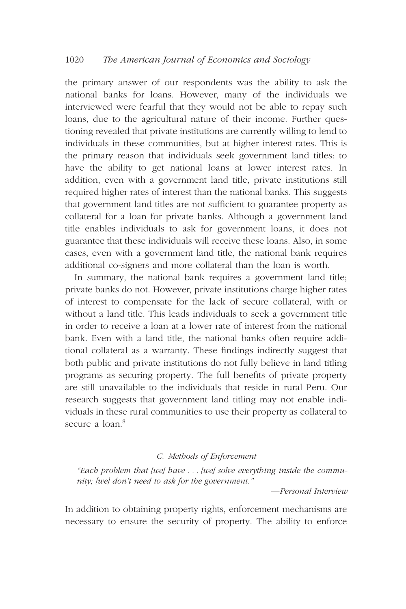the primary answer of our respondents was the ability to ask the national banks for loans. However, many of the individuals we interviewed were fearful that they would not be able to repay such loans, due to the agricultural nature of their income. Further questioning revealed that private institutions are currently willing to lend to individuals in these communities, but at higher interest rates. This is the primary reason that individuals seek government land titles: to have the ability to get national loans at lower interest rates. In addition, even with a government land title, private institutions still required higher rates of interest than the national banks. This suggests that government land titles are not sufficient to guarantee property as collateral for a loan for private banks. Although a government land title enables individuals to ask for government loans, it does not guarantee that these individuals will receive these loans. Also, in some cases, even with a government land title, the national bank requires additional co-signers and more collateral than the loan is worth.

In summary, the national bank requires a government land title; private banks do not. However, private institutions charge higher rates of interest to compensate for the lack of secure collateral, with or without a land title. This leads individuals to seek a government title in order to receive a loan at a lower rate of interest from the national bank. Even with a land title, the national banks often require additional collateral as a warranty. These findings indirectly suggest that both public and private institutions do not fully believe in land titling programs as securing property. The full benefits of private property are still unavailable to the individuals that reside in rural Peru. Our research suggests that government land titling may not enable individuals in these rural communities to use their property as collateral to secure a loan.<sup>8</sup>

#### *C. Methods of Enforcement*

*"Each problem that [we] have . . . [we] solve everything inside the community; [we] don't need to ask for the government."*

*—Personal Interview*

In addition to obtaining property rights, enforcement mechanisms are necessary to ensure the security of property. The ability to enforce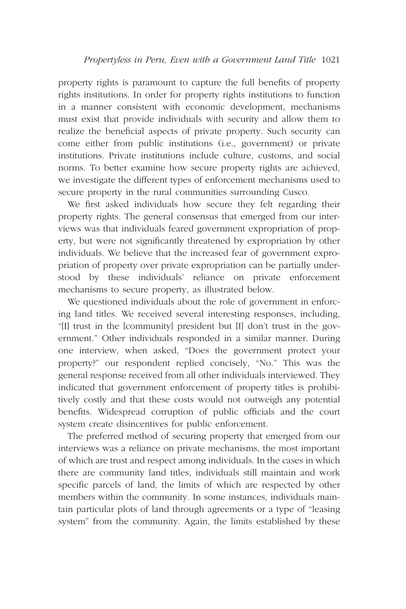property rights is paramount to capture the full benefits of property rights institutions. In order for property rights institutions to function in a manner consistent with economic development, mechanisms must exist that provide individuals with security and allow them to realize the beneficial aspects of private property. Such security can come either from public institutions (i.e., government) or private institutions. Private institutions include culture, customs, and social norms. To better examine how secure property rights are achieved, we investigate the different types of enforcement mechanisms used to secure property in the rural communities surrounding Cusco.

We first asked individuals how secure they felt regarding their property rights. The general consensus that emerged from our interviews was that individuals feared government expropriation of property, but were not significantly threatened by expropriation by other individuals. We believe that the increased fear of government expropriation of property over private expropriation can be partially understood by these individuals' reliance on private enforcement mechanisms to secure property, as illustrated below.

We questioned individuals about the role of government in enforcing land titles. We received several interesting responses, including, "[I] trust in the [community] president but [I] don't trust in the government." Other individuals responded in a similar manner. During one interview, when asked, "Does the government protect your property?" our respondent replied concisely, "No." This was the general response received from all other individuals interviewed. They indicated that government enforcement of property titles is prohibitively costly and that these costs would not outweigh any potential benefits. Widespread corruption of public officials and the court system create disincentives for public enforcement.

The preferred method of securing property that emerged from our interviews was a reliance on private mechanisms, the most important of which are trust and respect among individuals. In the cases in which there are community land titles, individuals still maintain and work specific parcels of land, the limits of which are respected by other members within the community. In some instances, individuals maintain particular plots of land through agreements or a type of "leasing system" from the community. Again, the limits established by these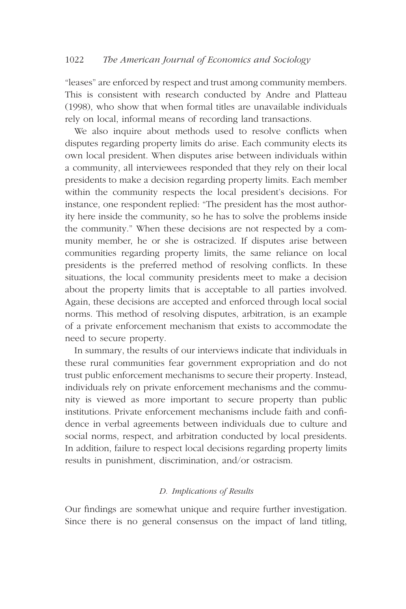"leases" are enforced by respect and trust among community members. This is consistent with research conducted by Andre and Platteau (1998), who show that when formal titles are unavailable individuals rely on local, informal means of recording land transactions.

We also inquire about methods used to resolve conflicts when disputes regarding property limits do arise. Each community elects its own local president. When disputes arise between individuals within a community, all interviewees responded that they rely on their local presidents to make a decision regarding property limits. Each member within the community respects the local president's decisions. For instance, one respondent replied: "The president has the most authority here inside the community, so he has to solve the problems inside the community." When these decisions are not respected by a community member, he or she is ostracized. If disputes arise between communities regarding property limits, the same reliance on local presidents is the preferred method of resolving conflicts. In these situations, the local community presidents meet to make a decision about the property limits that is acceptable to all parties involved. Again, these decisions are accepted and enforced through local social norms. This method of resolving disputes, arbitration, is an example of a private enforcement mechanism that exists to accommodate the need to secure property.

In summary, the results of our interviews indicate that individuals in these rural communities fear government expropriation and do not trust public enforcement mechanisms to secure their property. Instead, individuals rely on private enforcement mechanisms and the community is viewed as more important to secure property than public institutions. Private enforcement mechanisms include faith and confidence in verbal agreements between individuals due to culture and social norms, respect, and arbitration conducted by local presidents. In addition, failure to respect local decisions regarding property limits results in punishment, discrimination, and/or ostracism.

# *D. Implications of Results*

Our findings are somewhat unique and require further investigation. Since there is no general consensus on the impact of land titling,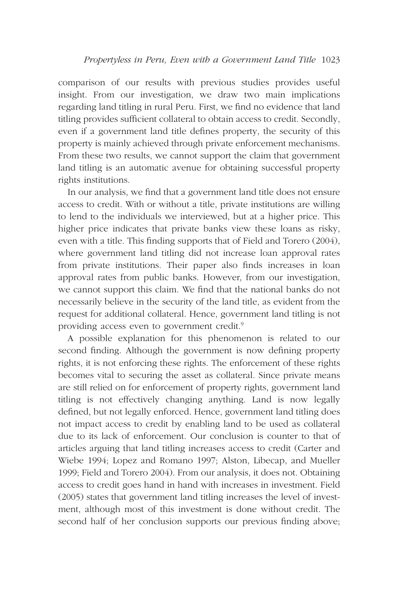comparison of our results with previous studies provides useful insight. From our investigation, we draw two main implications regarding land titling in rural Peru. First, we find no evidence that land titling provides sufficient collateral to obtain access to credit. Secondly, even if a government land title defines property, the security of this property is mainly achieved through private enforcement mechanisms. From these two results, we cannot support the claim that government land titling is an automatic avenue for obtaining successful property rights institutions.

In our analysis, we find that a government land title does not ensure access to credit. With or without a title, private institutions are willing to lend to the individuals we interviewed, but at a higher price. This higher price indicates that private banks view these loans as risky, even with a title. This finding supports that of Field and Torero (2004), where government land titling did not increase loan approval rates from private institutions. Their paper also finds increases in loan approval rates from public banks. However, from our investigation, we cannot support this claim. We find that the national banks do not necessarily believe in the security of the land title, as evident from the request for additional collateral. Hence, government land titling is not providing access even to government credit.<sup>9</sup>

A possible explanation for this phenomenon is related to our second finding. Although the government is now defining property rights, it is not enforcing these rights. The enforcement of these rights becomes vital to securing the asset as collateral. Since private means are still relied on for enforcement of property rights, government land titling is not effectively changing anything. Land is now legally defined, but not legally enforced. Hence, government land titling does not impact access to credit by enabling land to be used as collateral due to its lack of enforcement. Our conclusion is counter to that of articles arguing that land titling increases access to credit (Carter and Wiebe 1994; Lopez and Romano 1997; Alston, Libecap, and Mueller 1999; Field and Torero 2004). From our analysis, it does not. Obtaining access to credit goes hand in hand with increases in investment. Field (2005) states that government land titling increases the level of investment, although most of this investment is done without credit. The second half of her conclusion supports our previous finding above;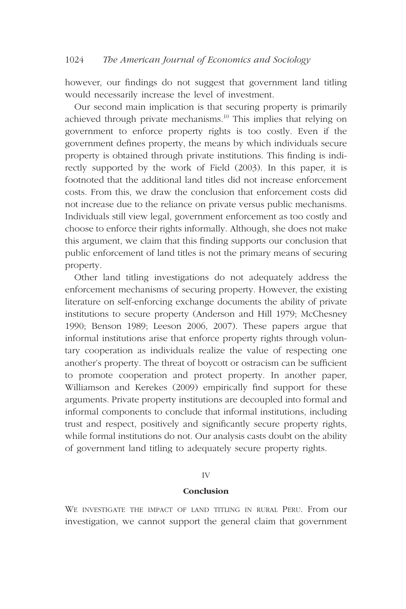however, our findings do not suggest that government land titling would necessarily increase the level of investment.

Our second main implication is that securing property is primarily achieved through private mechanisms.<sup>10</sup> This implies that relying on government to enforce property rights is too costly. Even if the government defines property, the means by which individuals secure property is obtained through private institutions. This finding is indirectly supported by the work of Field (2003). In this paper, it is footnoted that the additional land titles did not increase enforcement costs. From this, we draw the conclusion that enforcement costs did not increase due to the reliance on private versus public mechanisms. Individuals still view legal, government enforcement as too costly and choose to enforce their rights informally. Although, she does not make this argument, we claim that this finding supports our conclusion that public enforcement of land titles is not the primary means of securing property.

Other land titling investigations do not adequately address the enforcement mechanisms of securing property. However, the existing literature on self-enforcing exchange documents the ability of private institutions to secure property (Anderson and Hill 1979; McChesney 1990; Benson 1989; Leeson 2006, 2007). These papers argue that informal institutions arise that enforce property rights through voluntary cooperation as individuals realize the value of respecting one another's property. The threat of boycott or ostracism can be sufficient to promote cooperation and protect property. In another paper, Williamson and Kerekes (2009) empirically find support for these arguments. Private property institutions are decoupled into formal and informal components to conclude that informal institutions, including trust and respect, positively and significantly secure property rights, while formal institutions do not. Our analysis casts doubt on the ability of government land titling to adequately secure property rights.

## IV

## **Conclusion**

WE INVESTIGATE THE IMPACT OF LAND TITLING IN RURAL PERU. From our investigation, we cannot support the general claim that government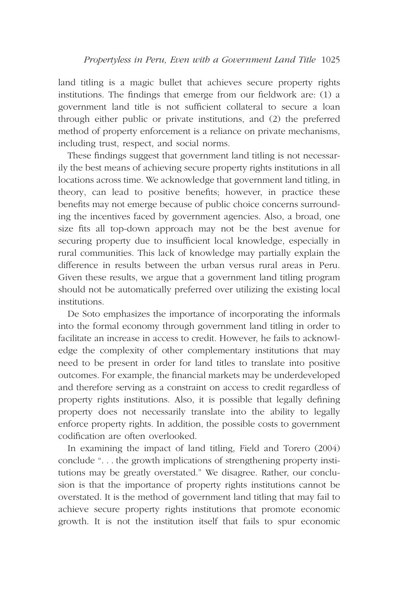land titling is a magic bullet that achieves secure property rights institutions. The findings that emerge from our fieldwork are: (1) a government land title is not sufficient collateral to secure a loan through either public or private institutions, and (2) the preferred method of property enforcement is a reliance on private mechanisms, including trust, respect, and social norms.

These findings suggest that government land titling is not necessarily the best means of achieving secure property rights institutions in all locations across time. We acknowledge that government land titling, in theory, can lead to positive benefits; however, in practice these benefits may not emerge because of public choice concerns surrounding the incentives faced by government agencies. Also, a broad, one size fits all top-down approach may not be the best avenue for securing property due to insufficient local knowledge, especially in rural communities. This lack of knowledge may partially explain the difference in results between the urban versus rural areas in Peru. Given these results, we argue that a government land titling program should not be automatically preferred over utilizing the existing local institutions.

De Soto emphasizes the importance of incorporating the informals into the formal economy through government land titling in order to facilitate an increase in access to credit. However, he fails to acknowledge the complexity of other complementary institutions that may need to be present in order for land titles to translate into positive outcomes. For example, the financial markets may be underdeveloped and therefore serving as a constraint on access to credit regardless of property rights institutions. Also, it is possible that legally defining property does not necessarily translate into the ability to legally enforce property rights. In addition, the possible costs to government codification are often overlooked.

In examining the impact of land titling, Field and Torero (2004) conclude ". . . the growth implications of strengthening property institutions may be greatly overstated." We disagree. Rather, our conclusion is that the importance of property rights institutions cannot be overstated. It is the method of government land titling that may fail to achieve secure property rights institutions that promote economic growth. It is not the institution itself that fails to spur economic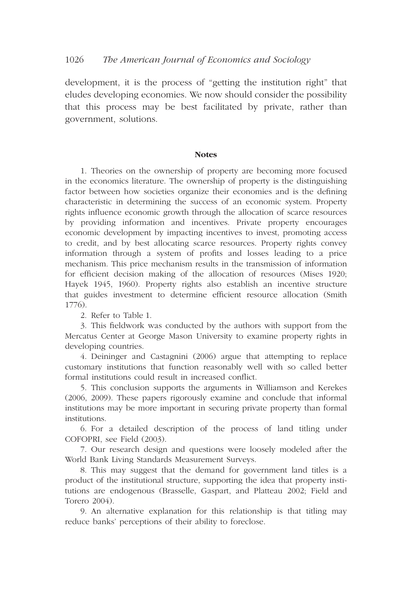development, it is the process of "getting the institution right" that eludes developing economies. We now should consider the possibility that this process may be best facilitated by private, rather than government, solutions.

#### **Notes**

1. Theories on the ownership of property are becoming more focused in the economics literature. The ownership of property is the distinguishing factor between how societies organize their economies and is the defining characteristic in determining the success of an economic system. Property rights influence economic growth through the allocation of scarce resources by providing information and incentives. Private property encourages economic development by impacting incentives to invest, promoting access to credit, and by best allocating scarce resources. Property rights convey information through a system of profits and losses leading to a price mechanism. This price mechanism results in the transmission of information for efficient decision making of the allocation of resources (Mises 1920; Hayek 1945, 1960). Property rights also establish an incentive structure that guides investment to determine efficient resource allocation (Smith 1776).

2. Refer to Table 1.

3. This fieldwork was conducted by the authors with support from the Mercatus Center at George Mason University to examine property rights in developing countries.

4. Deininger and Castagnini (2006) argue that attempting to replace customary institutions that function reasonably well with so called better formal institutions could result in increased conflict.

5. This conclusion supports the arguments in Williamson and Kerekes (2006, 2009). These papers rigorously examine and conclude that informal institutions may be more important in securing private property than formal institutions.

6. For a detailed description of the process of land titling under COFOPRI, see Field (2003).

7. Our research design and questions were loosely modeled after the World Bank Living Standards Measurement Surveys.

8. This may suggest that the demand for government land titles is a product of the institutional structure, supporting the idea that property institutions are endogenous (Brasselle, Gaspart, and Platteau 2002; Field and Torero 2004).

9. An alternative explanation for this relationship is that titling may reduce banks' perceptions of their ability to foreclose.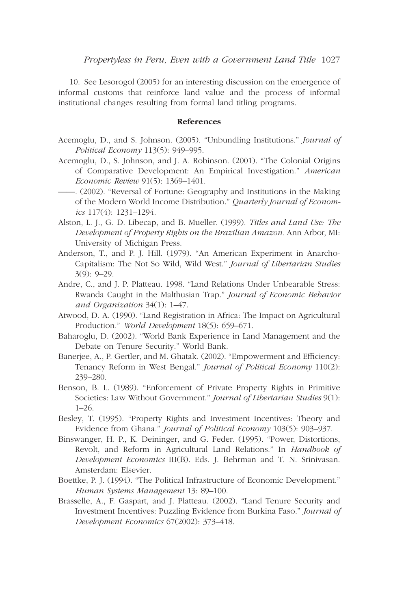10. See Lesorogol (2005) for an interesting discussion on the emergence of informal customs that reinforce land value and the process of informal institutional changes resulting from formal land titling programs.

#### **References**

- Acemoglu, D., and S. Johnson. (2005). "Unbundling Institutions." *Journal of Political Economy* 113(5): 949–995.
- Acemoglu, D., S. Johnson, and J. A. Robinson. (2001). "The Colonial Origins of Comparative Development: An Empirical Investigation." *American Economic Review* 91(5): 1369–1401.
- ——. (2002). "Reversal of Fortune: Geography and Institutions in the Making of the Modern World Income Distribution." *Quarterly Journal of Economics* 117(4): 1231–1294.
- Alston, L. J., G. D. Libecap, and B. Mueller. (1999). *Titles and Land Use: The Development of Property Rights on the Brazilian Amazon.* Ann Arbor, MI: University of Michigan Press.
- Anderson, T., and P. J. Hill. (1979). "An American Experiment in Anarcho-Capitalism: The Not So Wild, Wild West." *Journal of Libertarian Studies* 3(9): 9–29.
- Andre, C., and J. P. Platteau. 1998. "Land Relations Under Unbearable Stress: Rwanda Caught in the Malthusian Trap." *Journal of Economic Behavior and Organization* 34(1): 1–47.
- Atwood, D. A. (1990). "Land Registration in Africa: The Impact on Agricultural Production." *World Development* 18(5): 659–671.
- Baharoglu, D. (2002). "World Bank Experience in Land Management and the Debate on Tenure Security." World Bank.
- Banerjee, A., P. Gertler, and M. Ghatak. (2002). "Empowerment and Efficiency: Tenancy Reform in West Bengal." *Journal of Political Economy* 110(2): 239–280.
- Benson, B. L. (1989). "Enforcement of Private Property Rights in Primitive Societies: Law Without Government." *Journal of Libertarian Studies* 9(1): 1–26.
- Besley, T. (1995). "Property Rights and Investment Incentives: Theory and Evidence from Ghana." *Journal of Political Economy* 103(5): 903–937.
- Binswanger, H. P., K. Deininger, and G. Feder. (1995). "Power, Distortions, Revolt, and Reform in Agricultural Land Relations." In *Handbook of Development Economics* III(B). Eds. J. Behrman and T. N. Srinivasan. Amsterdam: Elsevier.
- Boettke, P. J. (1994). "The Political Infrastructure of Economic Development." *Human Systems Management* 13: 89–100.
- Brasselle, A., F. Gaspart, and J. Platteau. (2002). "Land Tenure Security and Investment Incentives: Puzzling Evidence from Burkina Faso." *Journal of Development Economics* 67(2002): 373–418.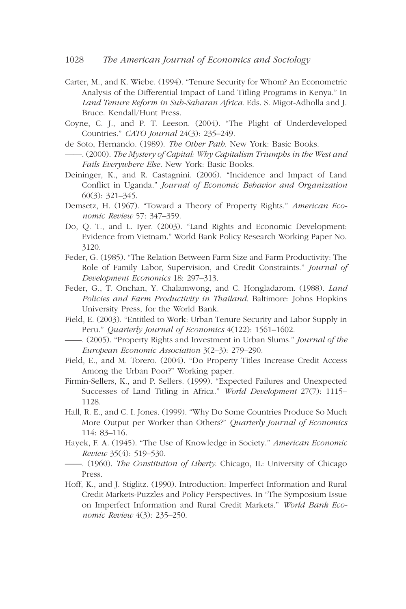- Carter, M., and K. Wiebe. (1994). "Tenure Security for Whom? An Econometric Analysis of the Differential Impact of Land Titling Programs in Kenya." In *Land Tenure Reform in Sub-Saharan Africa*. Eds. S. Migot-Adholla and J. Bruce. Kendall/Hunt Press.
- Coyne, C. J., and P. T. Leeson. (2004). "The Plight of Underdeveloped Countries." *CATO Journal* 24(3): 235–249.
- de Soto, Hernando. (1989). *The Other Path*. New York: Basic Books.
- ——. (2000). *The Mystery of Capital: Why Capitalism Triumphs in the West and Fails Everywhere Else.* New York: Basic Books.
- Deininger, K., and R. Castagnini. (2006). "Incidence and Impact of Land Conflict in Uganda." *Journal of Economic Behavior and Organization* 60(3): 321–345.
- Demsetz, H. (1967). "Toward a Theory of Property Rights." *American Economic Review* 57: 347–359.
- Do, Q. T., and L. Iyer. (2003). "Land Rights and Economic Development: Evidence from Vietnam." World Bank Policy Research Working Paper No. 3120.
- Feder, G. (1985). "The Relation Between Farm Size and Farm Productivity: The Role of Family Labor, Supervision, and Credit Constraints." *Journal of Development Economics* 18: 297–313.
- Feder, G., T. Onchan, Y. Chalamwong, and C. Hongladarom. (1988). *Land Policies and Farm Productivity in Thailand*. Baltimore: Johns Hopkins University Press, for the World Bank.
- Field, E. (2003). "Entitled to Work: Urban Tenure Security and Labor Supply in Peru." *Quarterly Journal of Economics* 4(122): 1561–1602.
- ——. (2005). "Property Rights and Investment in Urban Slums." *Journal of the European Economic Association* 3(2–3): 279–290.
- Field, E., and M. Torero. (2004). "Do Property Titles Increase Credit Access Among the Urban Poor?" Working paper.
- Firmin-Sellers, K., and P. Sellers. (1999). "Expected Failures and Unexpected Successes of Land Titling in Africa." *World Development* 27(7): 1115– 1128.
- Hall, R. E., and C. I. Jones. (1999). "Why Do Some Countries Produce So Much More Output per Worker than Others?" *Quarterly Journal of Economics* 114: 83–116.
- Hayek, F. A. (1945). "The Use of Knowledge in Society." *American Economic Review* 35(4): 519–530.
- ——. (1960). *The Constitution of Liberty*. Chicago, IL: University of Chicago Press.
- Hoff, K., and J. Stiglitz. (1990). Introduction: Imperfect Information and Rural Credit Markets-Puzzles and Policy Perspectives. In "The Symposium Issue on Imperfect Information and Rural Credit Markets." *World Bank Economic Review* 4(3): 235–250.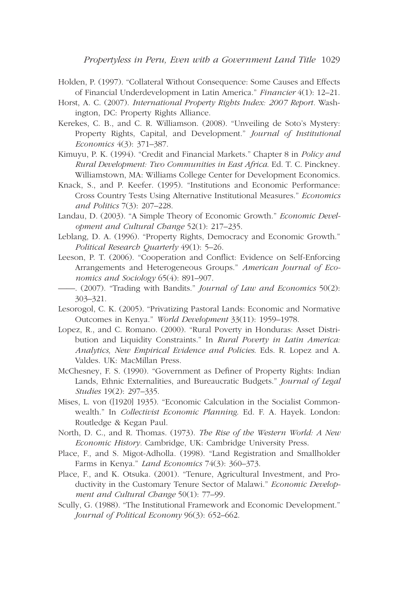- Holden, P. (1997). "Collateral Without Consequence: Some Causes and Effects of Financial Underdevelopment in Latin America." *Financier* 4(1): 12–21.
- Horst, A. C. (2007). *International Property Rights Index: 2007 Report.* Washington, DC: Property Rights Alliance.
- Kerekes, C. B., and C. R. Williamson. (2008). "Unveiling de Soto's Mystery: Property Rights, Capital, and Development." *Journal of Institutional Economics* 4(3): 371–387.
- Kimuyu, P. K. (1994). "Credit and Financial Markets." Chapter 8 in *Policy and Rural Development: Two Communities in East Africa*. Ed. T. C. Pinckney. Williamstown, MA: Williams College Center for Development Economics.
- Knack, S., and P. Keefer. (1995). "Institutions and Economic Performance: Cross Country Tests Using Alternative Institutional Measures." *Economics and Politics* 7(3): 207–228.
- Landau, D. (2003). "A Simple Theory of Economic Growth." *Economic Development and Cultural Change* 52(1): 217–235.
- Leblang, D. A. (1996). "Property Rights, Democracy and Economic Growth." *Political Research Quarterly* 49(1): 5–26.
- Leeson, P. T. (2006). "Cooperation and Conflict: Evidence on Self-Enforcing Arrangements and Heterogeneous Groups." *American Journal of Economics and Sociology* 65(4): 891–907.
- ——. (2007). "Trading with Bandits." *Journal of Law and Economics* 50(2): 303–321.
- Lesorogol, C. K. (2005). "Privatizing Pastoral Lands: Economic and Normative Outcomes in Kenya." *World Development* 33(11): 1959–1978.
- Lopez, R., and C. Romano. (2000). "Rural Poverty in Honduras: Asset Distribution and Liquidity Constraints." In *Rural Poverty in Latin America: Analytics, New Empirical Evidence and Policies*. Eds. R. Lopez and A. Valdes. UK: MacMillan Press.
- McChesney, F. S. (1990). "Government as Definer of Property Rights: Indian Lands, Ethnic Externalities, and Bureaucratic Budgets." *Journal of Legal Studies* 19(2): 297–335.
- Mises, L. von ([1920] 1935). "Economic Calculation in the Socialist Commonwealth." In *Collectivist Economic Planning*. Ed. F. A. Hayek. London: Routledge & Kegan Paul.
- North, D. C., and R. Thomas. (1973). *The Rise of the Western World: A New Economic History.* Cambridge, UK: Cambridge University Press.
- Place, F., and S. Migot-Adholla. (1998). "Land Registration and Smallholder Farms in Kenya." *Land Economics* 74(3): 360–373.
- Place, F., and K. Otsuka. (2001). "Tenure, Agricultural Investment, and Productivity in the Customary Tenure Sector of Malawi." *Economic Development and Cultural Change* 50(1): 77–99.
- Scully, G. (1988). "The Institutional Framework and Economic Development." *Journal of Political Economy* 96(3): 652–662.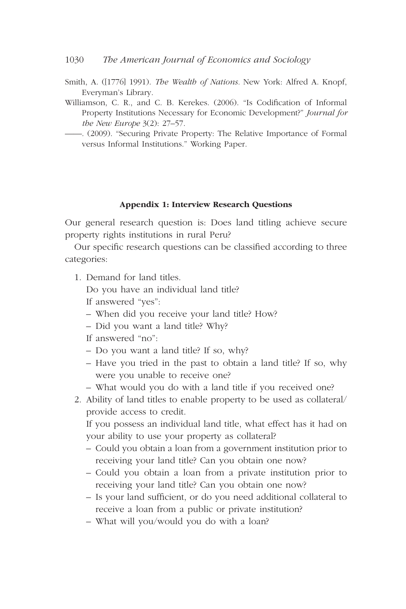- Smith, A. ([1776] 1991). *The Wealth of Nations.* New York: Alfred A. Knopf, Everyman's Library.
- Williamson, C. R., and C. B. Kerekes. (2006). "Is Codification of Informal Property Institutions Necessary for Economic Development?" *Journal for the New Europe* 3(2): 27–57.
- ——. (2009). "Securing Private Property: The Relative Importance of Formal versus Informal Institutions." Working Paper.

#### **Appendix 1: Interview Research Questions**

Our general research question is: Does land titling achieve secure property rights institutions in rural Peru?

Our specific research questions can be classified according to three categories:

1. Demand for land titles.

Do you have an individual land title?

- If answered "yes":
- When did you receive your land title? How?
- Did you want a land title? Why?
- If answered "no":
- Do you want a land title? If so, why?
- Have you tried in the past to obtain a land title? If so, why were you unable to receive one?
- What would you do with a land title if you received one?
- 2. Ability of land titles to enable property to be used as collateral/ provide access to credit.

If you possess an individual land title, what effect has it had on your ability to use your property as collateral?

- Could you obtain a loan from a government institution prior to receiving your land title? Can you obtain one now?
- Could you obtain a loan from a private institution prior to receiving your land title? Can you obtain one now?
- Is your land sufficient, or do you need additional collateral to receive a loan from a public or private institution?
- What will you/would you do with a loan?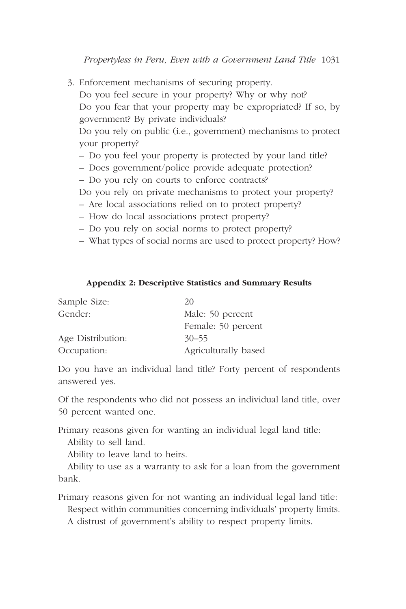*Propertyless in Peru, Even with a Government Land Title* 1031

3. Enforcement mechanisms of securing property.

Do you feel secure in your property? Why or why not?

Do you fear that your property may be expropriated? If so, by government? By private individuals?

Do you rely on public (i.e., government) mechanisms to protect your property?

- Do you feel your property is protected by your land title?
- Does government/police provide adequate protection?
- Do you rely on courts to enforce contracts?

Do you rely on private mechanisms to protect your property?

- Are local associations relied on to protect property?
- How do local associations protect property?
- Do you rely on social norms to protect property?
- What types of social norms are used to protect property? How?

## **Appendix 2: Descriptive Statistics and Summary Results**

| 20                   |
|----------------------|
| Male: 50 percent     |
| Female: 50 percent   |
| $30 - 55$            |
| Agriculturally based |
|                      |

Do you have an individual land title? Forty percent of respondents answered yes.

Of the respondents who did not possess an individual land title, over 50 percent wanted one.

Primary reasons given for wanting an individual legal land title: Ability to sell land.

Ability to leave land to heirs.

Ability to use as a warranty to ask for a loan from the government bank.

Primary reasons given for not wanting an individual legal land title: Respect within communities concerning individuals' property limits. A distrust of government's ability to respect property limits.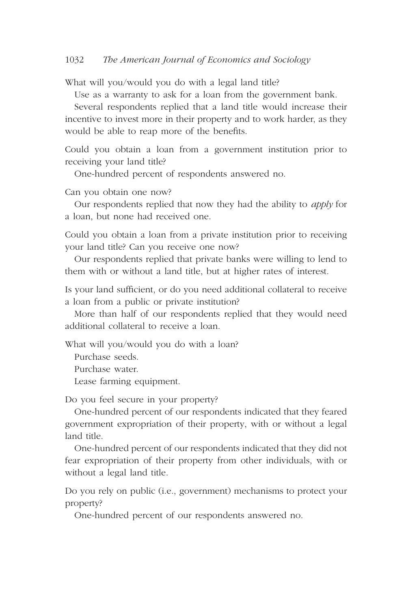What will you/would you do with a legal land title?

Use as a warranty to ask for a loan from the government bank.

Several respondents replied that a land title would increase their incentive to invest more in their property and to work harder, as they would be able to reap more of the benefits.

Could you obtain a loan from a government institution prior to receiving your land title?

One-hundred percent of respondents answered no.

Can you obtain one now?

Our respondents replied that now they had the ability to *apply* for a loan, but none had received one.

Could you obtain a loan from a private institution prior to receiving your land title? Can you receive one now?

Our respondents replied that private banks were willing to lend to them with or without a land title, but at higher rates of interest.

Is your land sufficient, or do you need additional collateral to receive a loan from a public or private institution?

More than half of our respondents replied that they would need additional collateral to receive a loan.

What will you/would you do with a loan?

Purchase seeds.

Purchase water.

Lease farming equipment.

Do you feel secure in your property?

One-hundred percent of our respondents indicated that they feared government expropriation of their property, with or without a legal land title.

One-hundred percent of our respondents indicated that they did not fear expropriation of their property from other individuals, with or without a legal land title.

Do you rely on public (i.e., government) mechanisms to protect your property?

One-hundred percent of our respondents answered no.